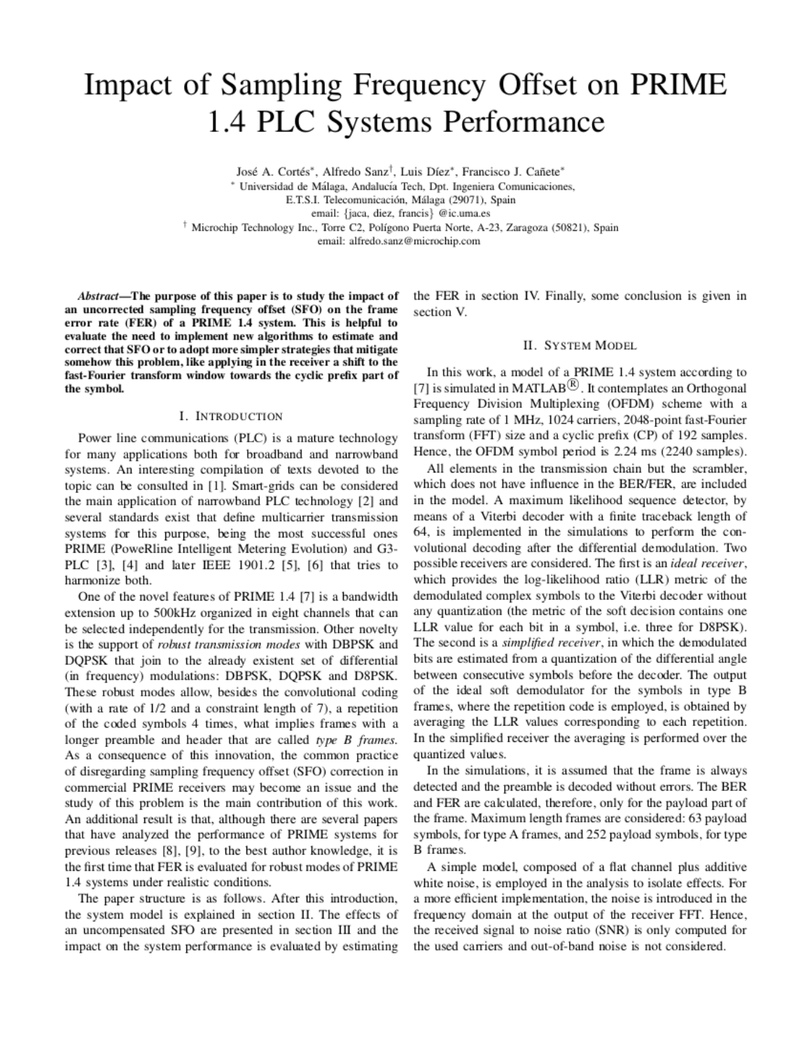# Impact of Sampling Frequency Offset on PRIME 1.4 PLC Systems Performance

José A. Cortés\*, Alfredo Sanz<sup>†</sup>, Luis Díez\*, Francisco J. Cañete\*

\* Universidad de Málaga, Andalucía Tech, Dpt. Ingeniera Comunicaciones,

E.T.S.I. Telecomunicación, Málaga (29071), Spain

email: {jaca, diez, francis} @ic.uma.es

<sup>†</sup> Microchip Technology Inc., Torre C2, Polígono Puerta Norte, A-23, Zaragoza (50821), Spain

email: alfredo.sanz@microchip.com

Abstract—The purpose of this paper is to study the impact of an uncorrected sampling frequency offset (SFO) on the frame error rate (FER) of a PRIME 1.4 system. This is helpful to evaluate the need to implement new algorithms to estimate and correct that SFO or to adopt more simpler strategies that mitigate somehow this problem, like applying in the receiver a shift to the fast-Fourier transform window towards the cyclic prefix part of the symbol.

## I. INTRODUCTION

Power line communications (PLC) is a mature technology for many applications both for broadband and narrowband systems. An interesting compilation of texts devoted to the topic can be consulted in [1]. Smart-grids can be considered the main application of narrowband PLC technology [2] and several standards exist that define multicarrier transmission systems for this purpose, being the most successful ones PRIME (PoweRline Intelligent Metering Evolution) and G3-PLC [3], [4] and later IEEE 1901.2 [5], [6] that tries to harmonize both.

One of the novel features of PRIME 1.4 [7] is a bandwidth extension up to 500kHz organized in eight channels that can be selected independently for the transmission. Other novelty is the support of robust transmission modes with DBPSK and DOPSK that join to the already existent set of differential (in frequency) modulations: DBPSK, DQPSK and D8PSK. These robust modes allow, besides the convolutional coding (with a rate of 1/2 and a constraint length of 7), a repetition of the coded symbols 4 times, what implies frames with a longer preamble and header that are called type B frames. As a consequence of this innovation, the common practice of disregarding sampling frequency offset (SFO) correction in commercial PRIME receivers may become an issue and the study of this problem is the main contribution of this work. An additional result is that, although there are several papers that have analyzed the performance of PRIME systems for previous releases [8], [9], to the best author knowledge, it is the first time that FER is evaluated for robust modes of PRIME 1.4 systems under realistic conditions.

The paper structure is as follows. After this introduction, the system model is explained in section II. The effects of an uncompensated SFO are presented in section III and the impact on the system performance is evaluated by estimating

the FER in section IV. Finally, some conclusion is given in section V.

## **II. SYSTEM MODEL**

In this work, a model of a PRIME 1.4 system according to [7] is simulated in MATLAB<sup> $\circledR$ </sup>. It contemplates an Orthogonal Frequency Division Multiplexing (OFDM) scheme with a sampling rate of 1 MHz, 1024 carriers, 2048-point fast-Fourier transform (FFT) size and a cyclic prefix (CP) of 192 samples. Hence, the OFDM symbol period is 2.24 ms (2240 samples).

All elements in the transmission chain but the scrambler, which does not have influence in the BER/FER, are included in the model. A maximum likelihood sequence detector, by means of a Viterbi decoder with a finite traceback length of 64, is implemented in the simulations to perform the convolutional decoding after the differential demodulation. Two possible receivers are considered. The first is an *ideal receiver*, which provides the log-likelihood ratio (LLR) metric of the demodulated complex symbols to the Viterbi decoder without any quantization (the metric of the soft decision contains one LLR value for each bit in a symbol, i.e. three for D8PSK). The second is a *simplified receiver*, in which the demodulated bits are estimated from a quantization of the differential angle between consecutive symbols before the decoder. The output of the ideal soft demodulator for the symbols in type B frames, where the repetition code is employed, is obtained by averaging the LLR values corresponding to each repetition. In the simplified receiver the averaging is performed over the quantized values.

In the simulations, it is assumed that the frame is always detected and the preamble is decoded without errors. The BER and FER are calculated, therefore, only for the payload part of the frame. Maximum length frames are considered: 63 payload symbols, for type A frames, and 252 payload symbols, for type B frames.

A simple model, composed of a flat channel plus additive white noise, is employed in the analysis to isolate effects. For a more efficient implementation, the noise is introduced in the frequency domain at the output of the receiver FFT. Hence, the received signal to noise ratio (SNR) is only computed for the used carriers and out-of-band noise is not considered.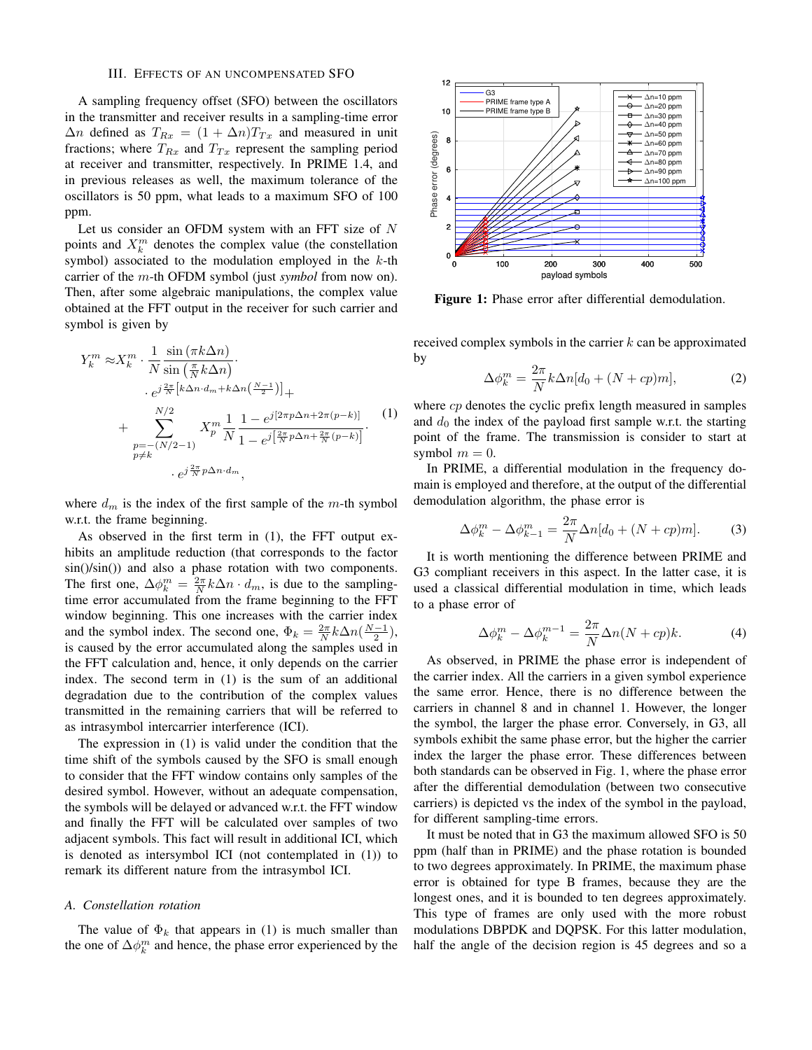## III. EFFECTS OF AN UNCOMPENSATED SFO

A sampling frequency offset (SFO) between the oscillators in the transmitter and receiver results in a sampling-time error  $\Delta n$  defined as  $T_{Rx} = (1 + \Delta n)T_{Tx}$  and measured in unit fractions; where  $T_{Rx}$  and  $T_{Tx}$  represent the sampling period at receiver and transmitter, respectively. In PRIME 1.4, and in previous releases as well, the maximum tolerance of the oscillators is 50 ppm, what leads to a maximum SFO of 100 ppm.

Let us consider an OFDM system with an FFT size of N points and  $X_k^m$  denotes the complex value (the constellation symbol) associated to the modulation employed in the  $k$ -th carrier of the m-th OFDM symbol (just *symbol* from now on). Then, after some algebraic manipulations, the complex value obtained at the FFT output in the receiver for such carrier and symbol is given by

$$
Y_k^m \approx X_k^m \cdot \frac{1}{N} \frac{\sin(\pi k \Delta n)}{\sin(\frac{\pi}{N} k \Delta n)} \cdot \n\cdot e^{j\frac{2\pi}{N} \left[ k \Delta n \cdot d_m + k \Delta n \left( \frac{N-1}{2} \right) \right]} + \n+ \sum_{\substack{p = -(N/2 - 1) \\ p \neq k}}^{N/2} X_p^m \frac{1}{N} \frac{1 - e^{j\left[ 2\pi p \Delta n + 2\pi (p - k) \right]}}{1 - e^{j\left[ \frac{2\pi}{N} p \Delta n + \frac{2\pi}{N} (p - k) \right]}} \cdot (1) \n\cdot e^{j\frac{2\pi}{N} p \Delta n \cdot d_m},
$$

where  $d_m$  is the index of the first sample of the m-th symbol w.r.t. the frame beginning.

As observed in the first term in (1), the FFT output exhibits an amplitude reduction (that corresponds to the factor sin()/sin()) and also a phase rotation with two components. The first one,  $\Delta \phi_k^m = \frac{2\pi}{N} k \Delta n \cdot d_m$ , is due to the samplingtime error accumulated from the frame beginning to the FFT window beginning. This one increases with the carrier index and the symbol index. The second one,  $\Phi_k = \frac{2\pi}{N} k \Delta n \left(\frac{N-1}{2}\right)$ , is caused by the error accumulated along the samples used in the FFT calculation and, hence, it only depends on the carrier index. The second term in (1) is the sum of an additional degradation due to the contribution of the complex values transmitted in the remaining carriers that will be referred to as intrasymbol intercarrier interference (ICI).

The expression in (1) is valid under the condition that the time shift of the symbols caused by the SFO is small enough to consider that the FFT window contains only samples of the desired symbol. However, without an adequate compensation, the symbols will be delayed or advanced w.r.t. the FFT window and finally the FFT will be calculated over samples of two adjacent symbols. This fact will result in additional ICI, which is denoted as intersymbol ICI (not contemplated in (1)) to remark its different nature from the intrasymbol ICI.

#### *A. Constellation rotation*

The value of  $\Phi_k$  that appears in (1) is much smaller than the one of  $\Delta \phi_k^m$  and hence, the phase error experienced by the



Figure 1: Phase error after differential demodulation.

received complex symbols in the carrier  $k$  can be approximated by

$$
\Delta \phi_k^m = \frac{2\pi}{N} k \Delta n [d_0 + (N + cp)m], \tag{2}
$$

where  $cp$  denotes the cyclic prefix length measured in samples and  $d_0$  the index of the payload first sample w.r.t. the starting point of the frame. The transmission is consider to start at symbol  $m = 0$ .

In PRIME, a differential modulation in the frequency domain is employed and therefore, at the output of the differential demodulation algorithm, the phase error is

$$
\Delta \phi_k^m - \Delta \phi_{k-1}^m = \frac{2\pi}{N} \Delta n [d_0 + (N + cp)m]. \tag{3}
$$

It is worth mentioning the difference between PRIME and G3 compliant receivers in this aspect. In the latter case, it is used a classical differential modulation in time, which leads to a phase error of

$$
\Delta \phi_k^m - \Delta \phi_k^{m-1} = \frac{2\pi}{N} \Delta n (N + cp) k. \tag{4}
$$

As observed, in PRIME the phase error is independent of the carrier index. All the carriers in a given symbol experience the same error. Hence, there is no difference between the carriers in channel 8 and in channel 1. However, the longer the symbol, the larger the phase error. Conversely, in G3, all symbols exhibit the same phase error, but the higher the carrier index the larger the phase error. These differences between both standards can be observed in Fig. 1, where the phase error after the differential demodulation (between two consecutive carriers) is depicted vs the index of the symbol in the payload, for different sampling-time errors.

It must be noted that in G3 the maximum allowed SFO is 50 ppm (half than in PRIME) and the phase rotation is bounded to two degrees approximately. In PRIME, the maximum phase error is obtained for type B frames, because they are the longest ones, and it is bounded to ten degrees approximately. This type of frames are only used with the more robust modulations DBPDK and DQPSK. For this latter modulation, half the angle of the decision region is 45 degrees and so a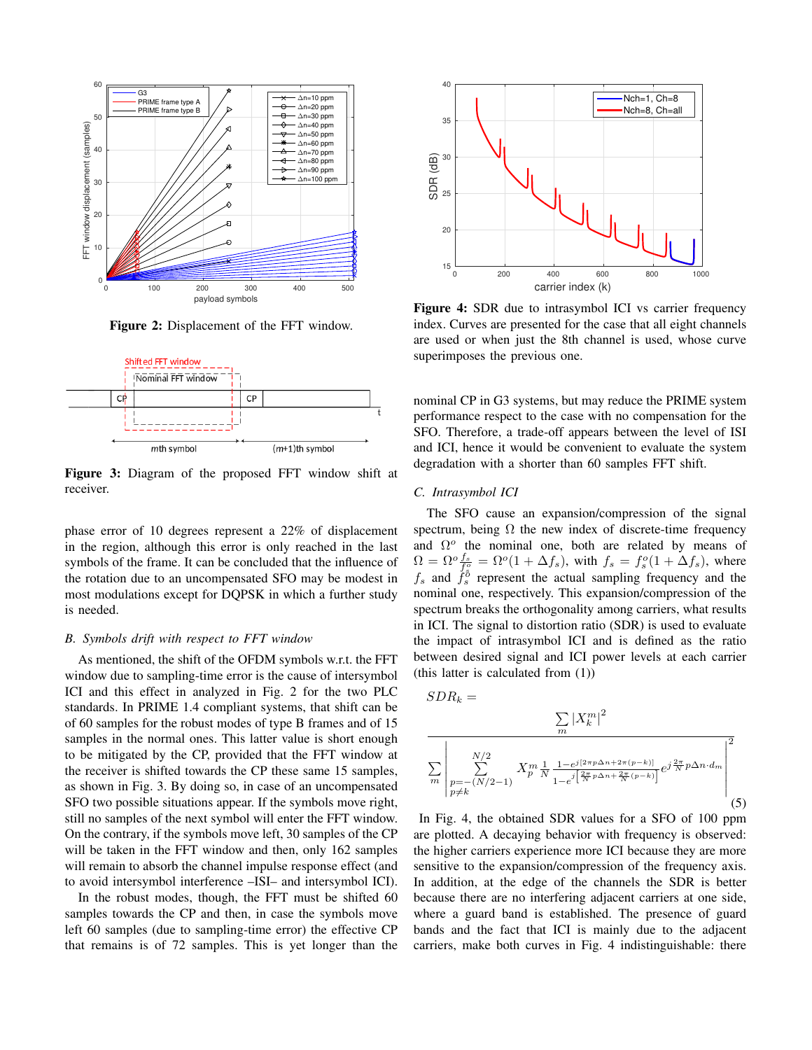

Figure 2: Displacement of the FFT window.



Figure 3: Diagram of the proposed FFT window shift at receiver.

phase error of 10 degrees represent a 22% of displacement in the region, although this error is only reached in the last symbols of the frame. It can be concluded that the influence of the rotation due to an uncompensated SFO may be modest in most modulations except for DQPSK in which a further study is needed.

## *B. Symbols drift with respect to FFT window*

As mentioned, the shift of the OFDM symbols w.r.t. the FFT window due to sampling-time error is the cause of intersymbol ICI and this effect in analyzed in Fig. 2 for the two PLC standards. In PRIME 1.4 compliant systems, that shift can be of 60 samples for the robust modes of type B frames and of 15 samples in the normal ones. This latter value is short enough to be mitigated by the CP, provided that the FFT window at the receiver is shifted towards the CP these same 15 samples, as shown in Fig. 3. By doing so, in case of an uncompensated SFO two possible situations appear. If the symbols move right, still no samples of the next symbol will enter the FFT window. On the contrary, if the symbols move left, 30 samples of the CP will be taken in the FFT window and then, only 162 samples will remain to absorb the channel impulse response effect (and to avoid intersymbol interference –ISI– and intersymbol ICI).

In the robust modes, though, the FFT must be shifted 60 samples towards the CP and then, in case the symbols move left 60 samples (due to sampling-time error) the effective CP that remains is of 72 samples. This is yet longer than the



Figure 4: SDR due to intrasymbol ICI vs carrier frequency index. Curves are presented for the case that all eight channels are used or when just the 8th channel is used, whose curve superimposes the previous one.

nominal CP in G3 systems, but may reduce the PRIME system performance respect to the case with no compensation for the SFO. Therefore, a trade-off appears between the level of ISI and ICI, hence it would be convenient to evaluate the system degradation with a shorter than 60 samples FFT shift.

#### *C. Intrasymbol ICI*

The SFO cause an expansion/compression of the signal spectrum, being  $\Omega$  the new index of discrete-time frequency and  $\Omega^o$  the nominal one, both are related by means of  $\Omega = \Omega^o \frac{f_s}{f_s^o} = \Omega^o(1 + \Delta f_s)$ , with  $f_s = f_s^o(1 + \Delta f_s)$ , where  $f_s$  and  $f_s^{\delta}$  represent the actual sampling frequency and the nominal one, respectively. This expansion/compression of the spectrum breaks the orthogonality among carriers, what results in ICI. The signal to distortion ratio (SDR) is used to evaluate the impact of intrasymbol ICI and is defined as the ratio between desired signal and ICI power levels at each carrier (this latter is calculated from (1))

$$
SDR_{k} = \frac{\sum_{m} |X_{k}^{m}|^{2}}{\sum_{m} \left| \sum_{p=-\left(N/2-1\right)}^{N/2} X_{p}^{m} \frac{1}{N} \frac{1-e^{j\left(2\pi p\Delta n + 2\pi\left(p-k\right)\right)}}{1-e^{j\left(\frac{2\pi}{N}p\Delta n + \frac{2\pi}{N}\left(p-k\right)\right)}} e^{j\frac{2\pi}{N}p\Delta n \cdot d_{m}} \right|^{2}}
$$
\n(5)

In Fig. 4, the obtained SDR values for a SFO of 100 ppm are plotted. A decaying behavior with frequency is observed: the higher carriers experience more ICI because they are more sensitive to the expansion/compression of the frequency axis. In addition, at the edge of the channels the SDR is better because there are no interfering adjacent carriers at one side, where a guard band is established. The presence of guard bands and the fact that ICI is mainly due to the adjacent carriers, make both curves in Fig. 4 indistinguishable: there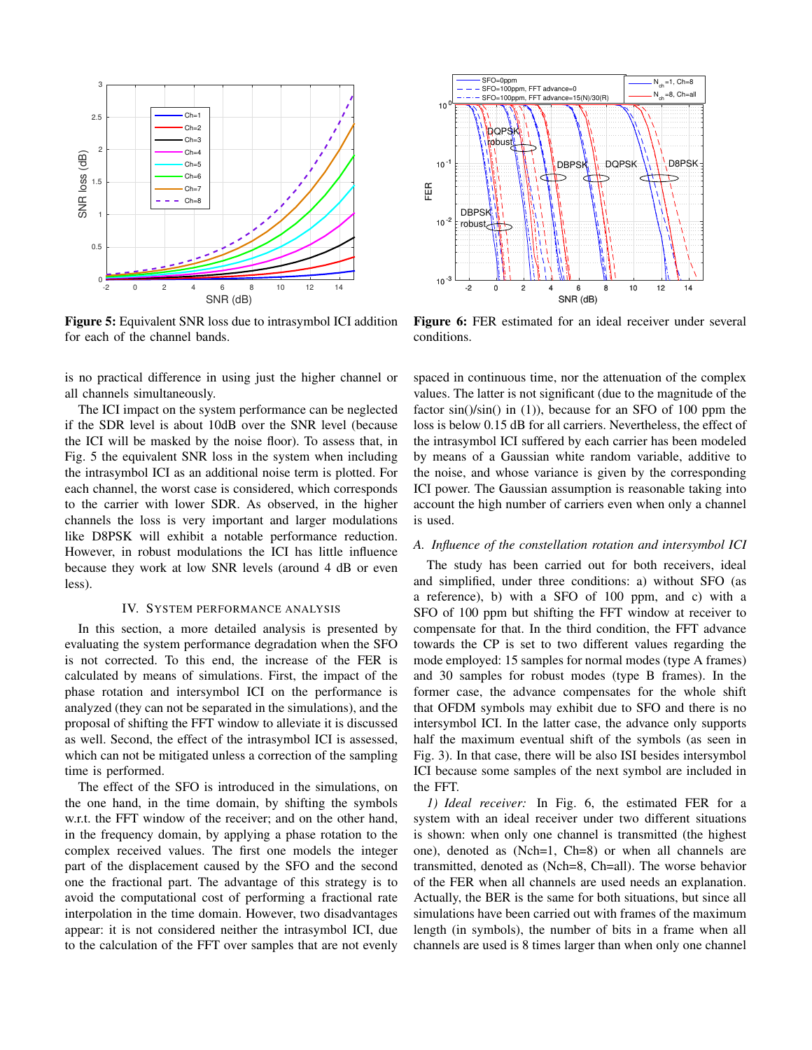

Figure 5: Equivalent SNR loss due to intrasymbol ICI addition for each of the channel bands.

is no practical difference in using just the higher channel or all channels simultaneously.

The ICI impact on the system performance can be neglected if the SDR level is about 10dB over the SNR level (because the ICI will be masked by the noise floor). To assess that, in Fig. 5 the equivalent SNR loss in the system when including the intrasymbol ICI as an additional noise term is plotted. For each channel, the worst case is considered, which corresponds to the carrier with lower SDR. As observed, in the higher channels the loss is very important and larger modulations like D8PSK will exhibit a notable performance reduction. However, in robust modulations the ICI has little influence because they work at low SNR levels (around 4 dB or even less).

#### IV. SYSTEM PERFORMANCE ANALYSIS

In this section, a more detailed analysis is presented by evaluating the system performance degradation when the SFO is not corrected. To this end, the increase of the FER is calculated by means of simulations. First, the impact of the phase rotation and intersymbol ICI on the performance is analyzed (they can not be separated in the simulations), and the proposal of shifting the FFT window to alleviate it is discussed as well. Second, the effect of the intrasymbol ICI is assessed, which can not be mitigated unless a correction of the sampling time is performed.

The effect of the SFO is introduced in the simulations, on the one hand, in the time domain, by shifting the symbols w.r.t. the FFT window of the receiver; and on the other hand, in the frequency domain, by applying a phase rotation to the complex received values. The first one models the integer part of the displacement caused by the SFO and the second one the fractional part. The advantage of this strategy is to avoid the computational cost of performing a fractional rate interpolation in the time domain. However, two disadvantages appear: it is not considered neither the intrasymbol ICI, due to the calculation of the FFT over samples that are not evenly



Figure 6: FER estimated for an ideal receiver under several conditions.

spaced in continuous time, nor the attenuation of the complex values. The latter is not significant (due to the magnitude of the factor  $sin(\frac{1}{sin(\theta))}$  in (1)), because for an SFO of 100 ppm the loss is below 0.15 dB for all carriers. Nevertheless, the effect of the intrasymbol ICI suffered by each carrier has been modeled by means of a Gaussian white random variable, additive to the noise, and whose variance is given by the corresponding ICI power. The Gaussian assumption is reasonable taking into account the high number of carriers even when only a channel is used.

# *A. Influence of the constellation rotation and intersymbol ICI*

The study has been carried out for both receivers, ideal and simplified, under three conditions: a) without SFO (as a reference), b) with a SFO of 100 ppm, and c) with a SFO of 100 ppm but shifting the FFT window at receiver to compensate for that. In the third condition, the FFT advance towards the CP is set to two different values regarding the mode employed: 15 samples for normal modes (type A frames) and 30 samples for robust modes (type B frames). In the former case, the advance compensates for the whole shift that OFDM symbols may exhibit due to SFO and there is no intersymbol ICI. In the latter case, the advance only supports half the maximum eventual shift of the symbols (as seen in Fig. 3). In that case, there will be also ISI besides intersymbol ICI because some samples of the next symbol are included in the FFT.

*1) Ideal receiver:* In Fig. 6, the estimated FER for a system with an ideal receiver under two different situations is shown: when only one channel is transmitted (the highest one), denoted as (Nch=1, Ch=8) or when all channels are transmitted, denoted as (Nch=8, Ch=all). The worse behavior of the FER when all channels are used needs an explanation. Actually, the BER is the same for both situations, but since all simulations have been carried out with frames of the maximum length (in symbols), the number of bits in a frame when all channels are used is 8 times larger than when only one channel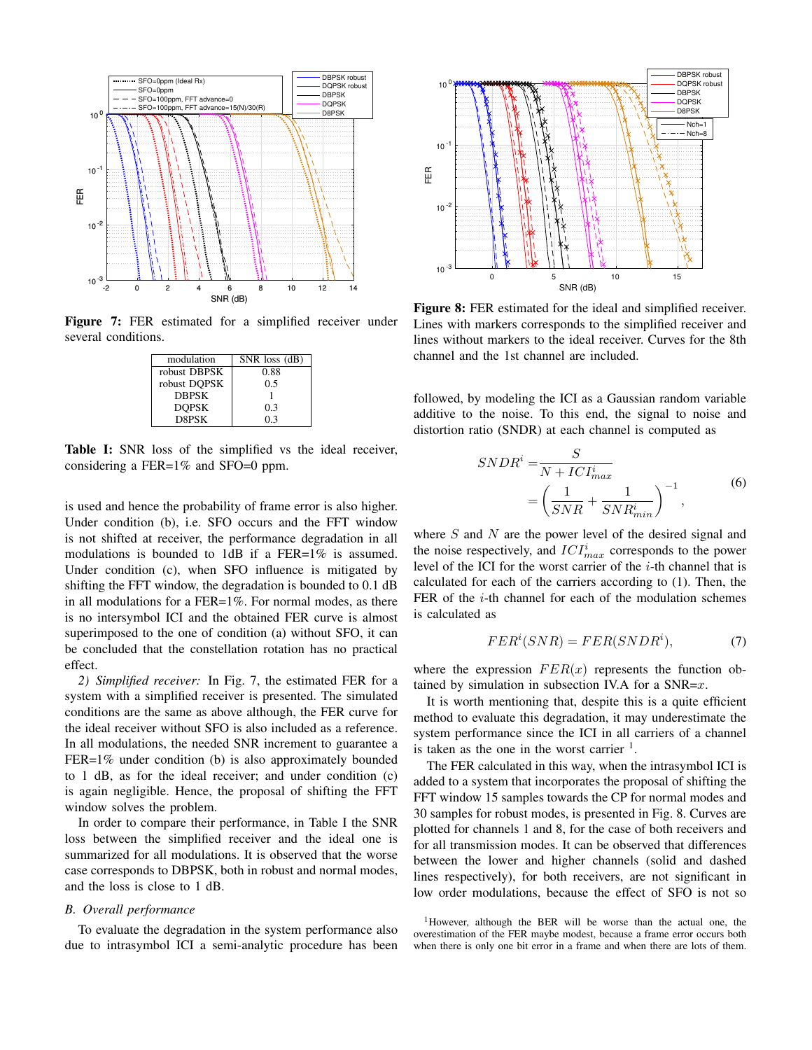

Figure 7: FER estimated for a simplified receiver under several conditions.

| modulation   | $SNR$ loss $(dB)$ |
|--------------|-------------------|
| robust DBPSK | 0.88              |
| robust DQPSK | 0.5               |
| <b>DBPSK</b> |                   |
| <b>DOPSK</b> | 03                |
| D8PSK        | 0 <sup>3</sup>    |

Table I: SNR loss of the simplified vs the ideal receiver, considering a FER=1% and SFO=0 ppm.

is used and hence the probability of frame error is also higher. Under condition (b), i.e. SFO occurs and the FFT window is not shifted at receiver, the performance degradation in all modulations is bounded to 1dB if a FER=1% is assumed. Under condition (c), when SFO influence is mitigated by shifting the FFT window, the degradation is bounded to 0.1 dB in all modulations for a FER=1%. For normal modes, as there is no intersymbol ICI and the obtained FER curve is almost superimposed to the one of condition (a) without SFO, it can be concluded that the constellation rotation has no practical effect.

*2) Simplified receiver:* In Fig. 7, the estimated FER for a system with a simplified receiver is presented. The simulated conditions are the same as above although, the FER curve for the ideal receiver without SFO is also included as a reference. In all modulations, the needed SNR increment to guarantee a FER=1% under condition (b) is also approximately bounded to 1 dB, as for the ideal receiver; and under condition (c) is again negligible. Hence, the proposal of shifting the FFT window solves the problem.

In order to compare their performance, in Table I the SNR loss between the simplified receiver and the ideal one is summarized for all modulations. It is observed that the worse case corresponds to DBPSK, both in robust and normal modes, and the loss is close to 1 dB.

# *B. Overall performance*

To evaluate the degradation in the system performance also due to intrasymbol ICI a semi-analytic procedure has been



Figure 8: FER estimated for the ideal and simplified receiver. Lines with markers corresponds to the simplified receiver and lines without markers to the ideal receiver. Curves for the 8th channel and the 1st channel are included.

followed, by modeling the ICI as a Gaussian random variable additive to the noise. To this end, the signal to noise and distortion ratio (SNDR) at each channel is computed as

$$
SNDR^{i} = \frac{S}{N + ICI_{max}^{i}}
$$

$$
= \left(\frac{1}{SNR} + \frac{1}{SNR_{min}^{i}}\right)^{-1},
$$
(6)

where  $S$  and  $N$  are the power level of the desired signal and the noise respectively, and  $ICI_{max}^{i}$  corresponds to the power level of the ICI for the worst carrier of the i-th channel that is calculated for each of the carriers according to (1). Then, the FER of the  $i$ -th channel for each of the modulation schemes is calculated as

$$
FER^i(SNR) = FER(SNDR^i),\tag{7}
$$

where the expression  $FER(x)$  represents the function obtained by simulation in subsection IV.A for a  $SNR=x$ .

It is worth mentioning that, despite this is a quite efficient method to evaluate this degradation, it may underestimate the system performance since the ICI in all carriers of a channel is taken as the one in the worst carrier  $<sup>1</sup>$ .</sup>

The FER calculated in this way, when the intrasymbol ICI is added to a system that incorporates the proposal of shifting the FFT window 15 samples towards the CP for normal modes and 30 samples for robust modes, is presented in Fig. 8. Curves are plotted for channels 1 and 8, for the case of both receivers and for all transmission modes. It can be observed that differences between the lower and higher channels (solid and dashed lines respectively), for both receivers, are not significant in low order modulations, because the effect of SFO is not so

<sup>1</sup>However, although the BER will be worse than the actual one, the overestimation of the FER maybe modest, because a frame error occurs both when there is only one bit error in a frame and when there are lots of them.